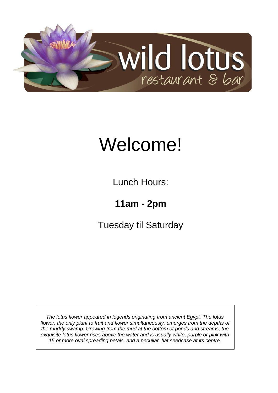

# Welcome!

Lunch Hours:

**11am - 2pm**

Tuesday til Saturday

*The lotus flower appeared in legends originating from ancient Egypt. The lotus flower, the only plant to fruit and flower simultaneously, emerges from the depths of the muddy swamp. Growing from the mud at the bottom of ponds and streams, the exquisite lotus flower rises above the water and is usually white, purple or pink with 15 or more oval spreading petals, and a peculiar, flat seedcase at its centre.*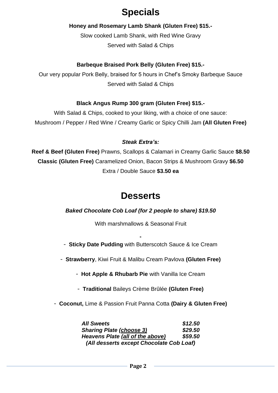# **Specials**

#### **Honey and Rosemary Lamb Shank (Gluten Free) \$15.-**

Slow cooked Lamb Shank, with Red Wine Gravy Served with Salad & Chips

## **Barbeque Braised Pork Belly (Gluten Free) \$15.-**

Our very popular Pork Belly, braised for 5 hours in Chef's Smoky Barbeque Sauce Served with Salad & Chips

### **Black Angus Rump 300 gram (Gluten Free) \$15.-**

With Salad & Chips, cooked to your liking, with a choice of one sauce: Mushroom / Pepper / Red Wine / Creamy Garlic or Spicy Chilli Jam **(All Gluten Free)**

#### *Steak Extra's:*

**Reef & Beef (Gluten Free)** Prawns, Scallops & Calamari in Creamy Garlic Sauce **\$8.50 Classic (Gluten Free)** Caramelized Onion, Bacon Strips & Mushroom Gravy **\$6.50** Extra / Double Sauce **\$3.50 ea**

## **Desserts**

#### *Baked Chocolate Cob Loaf (for 2 people to share) \$19.50*

With marshmallows & Seasonal Fruit

**-** - **Sticky Date Pudding** with Butterscotch Sauce & Ice Cream

- **Strawberry**, Kiwi Fruit & Malibu Cream Pavlova **(Gluten Free)**

- **Hot Apple & Rhubarb Pie** with Vanilla Ice Cream

- **Traditional** Baileys Crème Brûlée **(Gluten Free)**

- **Coconut,** Lime & Passion Fruit Panna Cotta **(Dairy & Gluten Free)**

| <b>All Sweets</b>                        | \$12.50 |
|------------------------------------------|---------|
| <b>Sharing Plate (choose 3)</b>          | \$29.50 |
| Heavens Plate (all of the above)         | \$59.50 |
| (All desserts except Chocolate Cob Loaf) |         |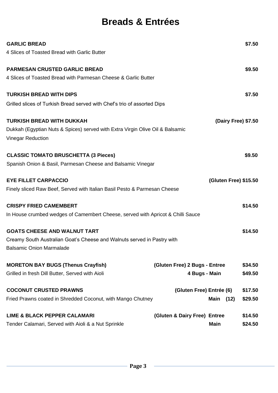# **Breads & Entrées**

| <b>GARLIC BREAD</b>                                                                                       |                               |                       | \$7.50  |
|-----------------------------------------------------------------------------------------------------------|-------------------------------|-----------------------|---------|
| 4 Slices of Toasted Bread with Garlic Butter                                                              |                               |                       |         |
| <b>PARMESAN CRUSTED GARLIC BREAD</b>                                                                      |                               |                       | \$9.50  |
| 4 Slices of Toasted Bread with Parmesan Cheese & Garlic Butter                                            |                               |                       |         |
| <b>TURKISH BREAD WITH DIPS</b>                                                                            |                               |                       | \$7.50  |
| Grilled slices of Turkish Bread served with Chef's trio of assorted Dips                                  |                               |                       |         |
| <b>TURKISH BREAD WITH DUKKAH</b>                                                                          |                               | (Dairy Free) \$7.50   |         |
| Dukkah (Egyptian Nuts & Spices) served with Extra Virgin Olive Oil & Balsamic<br><b>Vinegar Reduction</b> |                               |                       |         |
|                                                                                                           |                               |                       |         |
| <b>CLASSIC TOMATO BRUSCHETTA (3 Pieces)</b>                                                               |                               |                       | \$9.50  |
| Spanish Onion & Basil, Parmesan Cheese and Balsamic Vinegar                                               |                               |                       |         |
| <b>EYE FILLET CARPACCIO</b>                                                                               |                               | (Gluten Free) \$15.50 |         |
| Finely sliced Raw Beef, Served with Italian Basil Pesto & Parmesan Cheese                                 |                               |                       |         |
| <b>CRISPY FRIED CAMEMBERT</b>                                                                             |                               |                       | \$14.50 |
| In House crumbed wedges of Camembert Cheese, served with Apricot & Chilli Sauce                           |                               |                       |         |
| <b>GOATS CHEESE AND WALNUT TART</b>                                                                       |                               |                       | \$14.50 |
| Creamy South Australian Goat's Cheese and Walnuts served in Pastry with                                   |                               |                       |         |
| <b>Balsamic Onion Marmalade</b>                                                                           |                               |                       |         |
| <b>MORETON BAY BUGS (Thenus Crayfish)</b>                                                                 | (Gluten Free) 2 Bugs - Entree |                       | \$34.50 |
| Grilled in fresh Dill Butter, Served with Aioli                                                           | 4 Bugs - Main                 |                       | \$49.50 |
| <b>COCONUT CRUSTED PRAWNS</b>                                                                             | (Gluten Free) Entrée (6)      |                       | \$17.50 |
| Fried Prawns coated in Shredded Coconut, with Mango Chutney                                               |                               | Main<br>(12)          | \$29.50 |
| <b>LIME &amp; BLACK PEPPER CALAMARI</b>                                                                   | (Gluten & Dairy Free) Entree  |                       | \$14.50 |
| Tender Calamari, Served with Aioli & a Nut Sprinkle                                                       |                               | <b>Main</b>           | \$24.50 |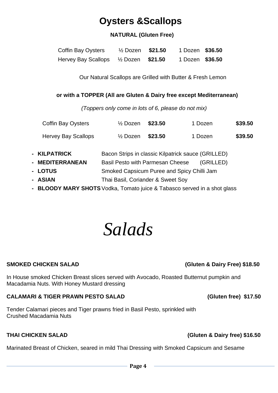# **Oysters &Scallops**

## **NATURAL (Gluten Free)**

| <b>Coffin Bay Oysters</b>                                     | $\frac{1}{2}$ Dozen <b>\$21.50</b> | 1 Dozen \$36.50 |  |
|---------------------------------------------------------------|------------------------------------|-----------------|--|
| Hervey Bay Scallops <sup>1</sup> / <sub>2</sub> Dozen \$21.50 |                                    | 1 Dozen \$36.50 |  |

Our Natural Scallops are Grilled with Butter & Fresh Lemon

#### **or with a TOPPER (All are Gluten & Dairy free except Mediterranean)**

*(Toppers only come in lots of 6, please do not mix)* 

| <b>Coffin Bay Oysters</b>  | $\frac{1}{2}$ Dozen                        | \$23.50 | 1 Dozen                                            | \$39.50 |
|----------------------------|--------------------------------------------|---------|----------------------------------------------------|---------|
| <b>Hervey Bay Scallops</b> | $\frac{1}{2}$ Dozen                        | \$23.50 | 1 Dozen                                            | \$39.50 |
| - KILPATRICK               |                                            |         | Bacon Strips in classic Kilpatrick sauce (GRILLED) |         |
| - MEDITERRANEAN            | <b>Basil Pesto with Parmesan Cheese</b>    |         | (GRILLED)                                          |         |
| - LOTUS                    | Smoked Capsicum Puree and Spicy Chilli Jam |         |                                                    |         |
| - ASIAN                    | Thai Basil, Coriander & Sweet Soy          |         |                                                    |         |

**- BLOODY MARY SHOTS**Vodka, Tomato juice & Tabasco served in a shot glass

# *Salads*

In House smoked Chicken Breast slices served with Avocado, Roasted Butternut pumpkin and Macadamia Nuts. With Honey Mustard dressing

#### **CALAMARI & TIGER PRAWN PESTO SALAD (Gluten free) \$17.50**

Tender Calamari pieces and Tiger prawns fried in Basil Pesto, sprinkled with Crushed Macadamia Nuts

Marinated Breast of Chicken, seared in mild Thai Dressing with Smoked Capsicum and Sesame

#### **SMOKED CHICKEN SALAD (Gluten & Dairy Free) \$18.50**

**THAI CHICKEN SALAD (Gluten & Dairy free) \$16.50**

**Page 4**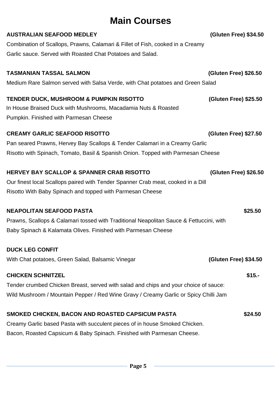# **Main Courses**

| <b>AUSTRALIAN SEAFOOD MEDLEY</b>                                                        | <b>(Gluten Free) \$34.50</b> |
|-----------------------------------------------------------------------------------------|------------------------------|
| Combination of Scallops, Prawns, Calamari & Fillet of Fish, cooked in a Creamy          |                              |
| Garlic sauce. Served with Roasted Chat Potatoes and Salad.                              |                              |
| <b>TASMANIAN TASSAL SALMON</b>                                                          | (Gluten Free) \$26.50        |
| Medium Rare Salmon served with Salsa Verde, with Chat potatoes and Green Salad          |                              |
| <b>TENDER DUCK, MUSHROOM &amp; PUMPKIN RISOTTO</b>                                      | (Gluten Free) \$25.50        |
| In House Braised Duck with Mushrooms, Macadamia Nuts & Roasted                          |                              |
| Pumpkin. Finished with Parmesan Cheese                                                  |                              |
| <b>CREAMY GARLIC SEAFOOD RISOTTO</b>                                                    | (Gluten Free) \$27.50        |
| Pan seared Prawns, Hervey Bay Scallops & Tender Calamari in a Creamy Garlic             |                              |
| Risotto with Spinach, Tomato, Basil & Spanish Onion. Topped with Parmesan Cheese        |                              |
| <b>HERVEY BAY SCALLOP &amp; SPANNER CRAB RISOTTO</b>                                    | (Gluten Free) \$26.50        |
| Our finest local Scallops paired with Tender Spanner Crab meat, cooked in a Dill        |                              |
| Risotto With Baby Spinach and topped with Parmesan Cheese                               |                              |
| <b>NEAPOLITAN SEAFOOD PASTA</b>                                                         | \$25.50                      |
| Prawns, Scallops & Calamari tossed with Traditional Neapolitan Sauce & Fettuccini, with |                              |
| Baby Spinach & Kalamata Olives. Finished with Parmesan Cheese                           |                              |
| <b>DUCK LEG CONFIT</b>                                                                  |                              |
| With Chat potatoes, Green Salad, Balsamic Vinegar                                       | <b>(Gluten Free) \$34.50</b> |
|                                                                                         |                              |
| <b>CHICKEN SCHNITZEL</b>                                                                | $$15. -$                     |
| Tender crumbed Chicken Breast, served with salad and chips and your choice of sauce:    |                              |
| Wild Mushroom / Mountain Pepper / Red Wine Gravy / Creamy Garlic or Spicy Chilli Jam    |                              |
| SMOKED CHICKEN, BACON AND ROASTED CAPSICUM PASTA                                        | \$24.50                      |
| Creamy Garlic based Pasta with succulent pieces of in house Smoked Chicken.             |                              |
| Bacon, Roasted Capsicum & Baby Spinach. Finished with Parmesan Cheese.                  |                              |